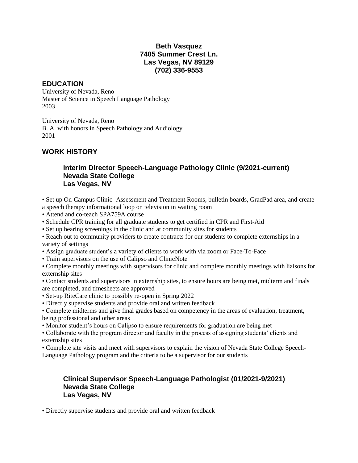## **Beth Vasquez 7405 Summer Crest Ln. Las Vegas, NV 89129 (702) 336-9553**

#### **EDUCATION**

University of Nevada, Reno Master of Science in Speech Language Pathology 2003

University of Nevada, Reno B. A. with honors in Speech Pathology and Audiology 2001

# **WORK HISTORY**

#### **Interim Director Speech-Language Pathology Clinic (9/2021-current) Nevada State College Las Vegas, NV**

• Set up On-Campus Clinic- Assessment and Treatment Rooms, bulletin boards, GradPad area, and create a speech therapy informational loop on television in waiting room

- Attend and co-teach SPA759A course
- Schedule CPR training for all graduate students to get certified in CPR and First-Aid
- Set up hearing screenings in the clinic and at community sites for students

• Reach out to community providers to create contracts for our students to complete externships in a variety of settings

- Assign graduate student's a variety of clients to work with via zoom or Face-To-Face
- Train supervisors on the use of Calipso and ClinicNote

• Complete monthly meetings with supervisors for clinic and complete monthly meetings with liaisons for externship sites

• Contact students and supervisors in externship sites, to ensure hours are being met, midterm and finals are completed, and timesheets are approved

- Set-up RiteCare clinic to possibly re-open in Spring 2022
- Directly supervise students and provide oral and written feedback

• Complete midterms and give final grades based on competency in the areas of evaluation, treatment, being professional and other areas

• Monitor student's hours on Calipso to ensure requirements for graduation are being met

• Collaborate with the program director and faculty in the process of assigning students' clients and externship sites

• Complete site visits and meet with supervisors to explain the vision of Nevada State College Speech-

Language Pathology program and the criteria to be a supervisor for our students

#### **Clinical Supervisor Speech-Language Pathologist (01/2021-9/2021) Nevada State College Las Vegas, NV**

• Directly supervise students and provide oral and written feedback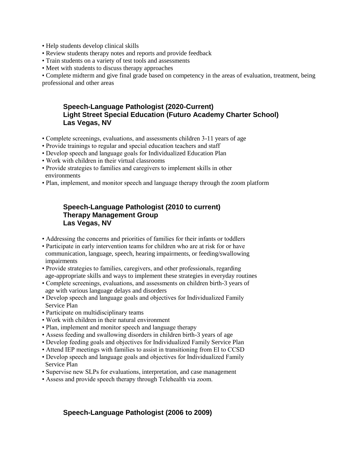- Help students develop clinical skills
- Review students therapy notes and reports and provide feedback
- Train students on a variety of test tools and assessments

• Meet with students to discuss therapy approaches

• Complete midterm and give final grade based on competency in the areas of evaluation, treatment, being professional and other areas

## **Speech-Language Pathologist (2020-Current) Light Street Special Education (Futuro Academy Charter School) Las Vegas, NV**

- Complete screenings, evaluations, and assessments children 3-11 years of age
- Provide trainings to regular and special education teachers and staff
- Develop speech and language goals for Individualized Education Plan
- Work with children in their virtual classrooms
- Provide strategies to families and caregivers to implement skills in other environments
- Plan, implement, and monitor speech and language therapy through the zoom platform

## **Speech-Language Pathologist (2010 to current) Therapy Management Group Las Vegas, NV**

- Addressing the concerns and priorities of families for their infants or toddlers
- Participate in early intervention teams for children who are at risk for or have communication, language, speech, hearing impairments, or feeding/swallowing impairments
- Provide strategies to families, caregivers, and other professionals, regarding age-appropriate skills and ways to implement these strategies in everyday routines
- Complete screenings, evaluations, and assessments on children birth-3 years of age with various language delays and disorders
- Develop speech and language goals and objectives for Individualized Family Service Plan
- Participate on multidisciplinary teams
- Work with children in their natural environment
- Plan, implement and monitor speech and language therapy
- Assess feeding and swallowing disorders in children birth-3 years of age
- Develop feeding goals and objectives for Individualized Family Service Plan
- Attend IEP meetings with families to assist in transitioning from EI to CCSD
- Develop speech and language goals and objectives for Individualized Family Service Plan
- Supervise new SLPs for evaluations, interpretation, and case management
- Assess and provide speech therapy through Telehealth via zoom.

### **Speech-Language Pathologist (2006 to 2009)**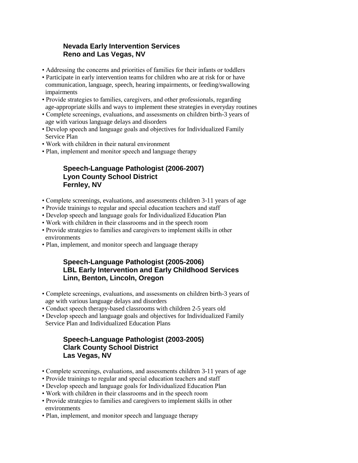### **Nevada Early Intervention Services Reno and Las Vegas, NV**

- Addressing the concerns and priorities of families for their infants or toddlers
- Participate in early intervention teams for children who are at risk for or have communication, language, speech, hearing impairments, or feeding/swallowing impairments
- Provide strategies to families, caregivers, and other professionals, regarding age-appropriate skills and ways to implement these strategies in everyday routines
- Complete screenings, evaluations, and assessments on children birth-3 years of age with various language delays and disorders
- Develop speech and language goals and objectives for Individualized Family Service Plan
- Work with children in their natural environment
- Plan, implement and monitor speech and language therapy

# **Speech-Language Pathologist (2006-2007) Lyon County School District Fernley, NV**

- Complete screenings, evaluations, and assessments children 3-11 years of age
- Provide trainings to regular and special education teachers and staff
- Develop speech and language goals for Individualized Education Plan
- Work with children in their classrooms and in the speech room
- Provide strategies to families and caregivers to implement skills in other environments
- Plan, implement, and monitor speech and language therapy

# **Speech-Language Pathologist (2005-2006) LBL Early Intervention and Early Childhood Services Linn, Benton, Lincoln, Oregon**

- Complete screenings, evaluations, and assessments on children birth-3 years of age with various language delays and disorders
- Conduct speech therapy-based classrooms with children 2-5 years old
- Develop speech and language goals and objectives for Individualized Family Service Plan and Individualized Education Plans

### **Speech-Language Pathologist (2003-2005) Clark County School District Las Vegas, NV**

- Complete screenings, evaluations, and assessments children 3-11 years of age
- Provide trainings to regular and special education teachers and staff
- Develop speech and language goals for Individualized Education Plan
- Work with children in their classrooms and in the speech room
- Provide strategies to families and caregivers to implement skills in other environments
- Plan, implement, and monitor speech and language therapy